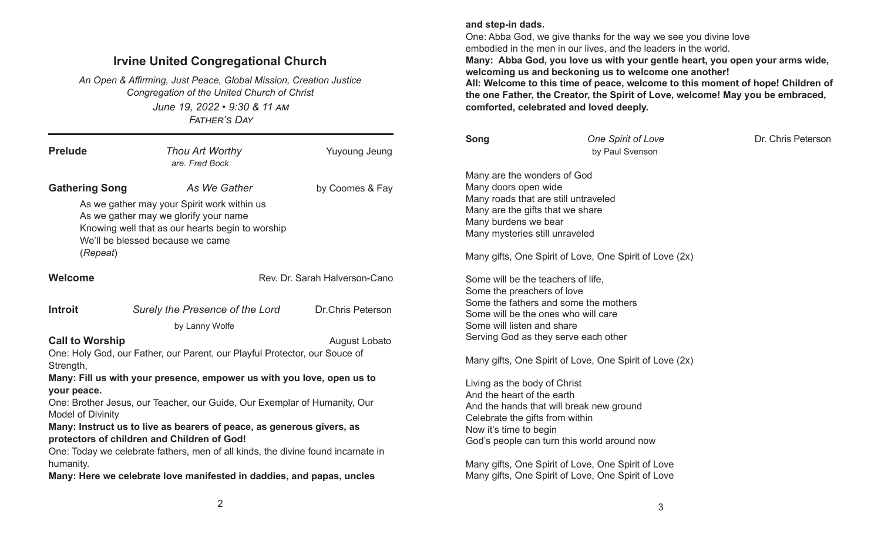## Irvine United Congregational Church

June 19, 2022 • 9:30 & 11 AM FATHER'S DAY An Open & Affirming, Just Peace, Global Mission, Creation Justice Congregation of the United Church of Christ

| <b>Prelude</b>                                                                                                                                                                                                              | Thou Art Worthy<br>are. Fred Bock                                                                                                                                                            | <b>Yuyoung Jeung</b>          |  |  |  |
|-----------------------------------------------------------------------------------------------------------------------------------------------------------------------------------------------------------------------------|----------------------------------------------------------------------------------------------------------------------------------------------------------------------------------------------|-------------------------------|--|--|--|
| <b>Gathering Song</b><br>(Repeat)                                                                                                                                                                                           | As We Gather<br>As we gather may your Spirit work within us<br>As we gather may we glorify your name<br>Knowing well that as our hearts begin to worship<br>We'll be blessed because we came | by Coomes & Fay               |  |  |  |
| Welcome                                                                                                                                                                                                                     |                                                                                                                                                                                              | Rev. Dr. Sarah Halverson-Cano |  |  |  |
| <b>Introit</b>                                                                                                                                                                                                              | Surely the Presence of the Lord<br>by Lanny Wolfe                                                                                                                                            | <b>Dr.Chris Peterson</b>      |  |  |  |
| <b>Call to Worship</b><br>August Lobato<br>One: Holy God, our Father, our Parent, our Playful Protector, our Souce of<br>Strength,<br>Many: Fill us with your presence, empower us with you love, open us to<br>your peace. |                                                                                                                                                                                              |                               |  |  |  |
| One: Brother Jesus, our Teacher, our Guide, Our Exemplar of Humanity, Our<br><b>Model of Divinity</b><br>Many: Instruct us to live as bearers of peace, as generous givers, as                                              |                                                                                                                                                                                              |                               |  |  |  |
| protectors of children and Children of God!<br>One: Today we celebrate fathers, men of all kinds, the divine found incarnate in<br>humanity.                                                                                |                                                                                                                                                                                              |                               |  |  |  |
| Many: Here we celebrate love manifested in daddies, and papas, uncles                                                                                                                                                       |                                                                                                                                                                                              |                               |  |  |  |

## and step-in dads.

One: Abba God, we give thanks for the way we see you divine love embodied in the men in our lives, and the leaders in the world. Many: Abba God, you love us with your gentle heart, you open your arms wide, welcoming us and beckoning us to welcome one another! All: Welcome to this time of peace, welcome to this moment of hope! Children of the one Father, the Creator, the Spirit of Love, welcome! May you be embraced, comforted, celebrated and loved deeply.

| Song | <b>One Spirit of Love</b> | Dr. Chris Peterson |
|------|---------------------------|--------------------|
|      | by Paul Svenson           |                    |

Many are the wonders of God Many doors open wide Many roads that are still untraveled Many are the gifts that we share Many burdens we bear Many mysteries still unraveled

Many gifts, One Spirit of Love, One Spirit of Love (2x)

Some will be the teachers of life, Some the preachers of love Some the fathers and some the mothers Some will be the ones who will care Some will listen and share Serving God as they serve each other

Many gifts, One Spirit of Love, One Spirit of Love (2x)

Living as the body of Christ And the heart of the earth And the hands that will break new ground Celebrate the gifts from within Now it's time to begin God's people can turn this world around now

Many gifts, One Spirit of Love, One Spirit of Love Many gifts, One Spirit of Love, One Spirit of Love